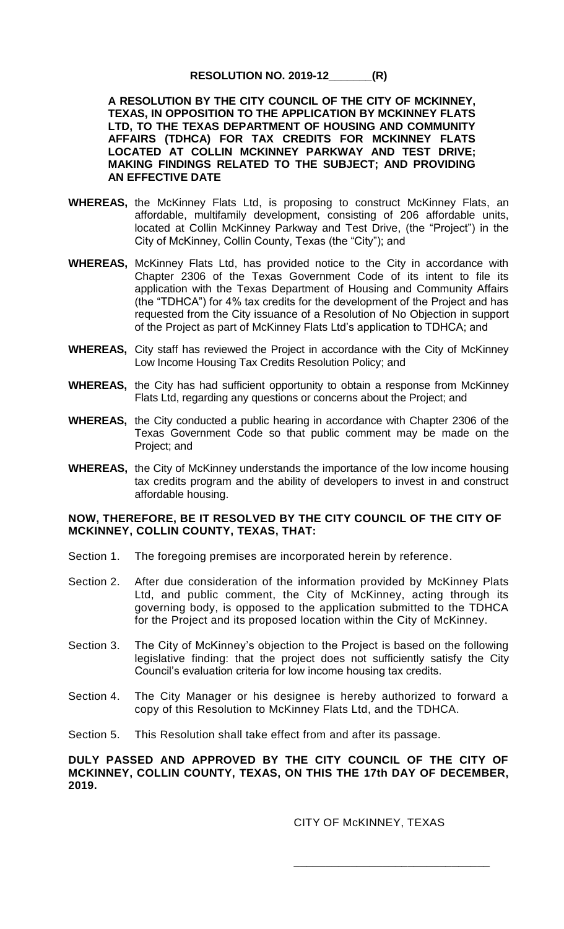## **RESOLUTION NO. 2019-12\_\_\_\_\_\_\_(R)**

**A RESOLUTION BY THE CITY COUNCIL OF THE CITY OF MCKINNEY, TEXAS, IN OPPOSITION TO THE APPLICATION BY MCKINNEY FLATS LTD, TO THE TEXAS DEPARTMENT OF HOUSING AND COMMUNITY AFFAIRS (TDHCA) FOR TAX CREDITS FOR MCKINNEY FLATS LOCATED AT COLLIN MCKINNEY PARKWAY AND TEST DRIVE; MAKING FINDINGS RELATED TO THE SUBJECT; AND PROVIDING AN EFFECTIVE DATE**

- **WHEREAS,** the McKinney Flats Ltd, is proposing to construct McKinney Flats, an affordable, multifamily development, consisting of 206 affordable units, located at Collin McKinney Parkway and Test Drive, (the "Project") in the City of McKinney, Collin County, Texas (the "City"); and
- **WHEREAS,** McKinney Flats Ltd, has provided notice to the City in accordance with Chapter 2306 of the Texas Government Code of its intent to file its application with the Texas Department of Housing and Community Affairs (the "TDHCA") for 4% tax credits for the development of the Project and has requested from the City issuance of a Resolution of No Objection in support of the Project as part of McKinney Flats Ltd's application to TDHCA; and
- **WHEREAS,** City staff has reviewed the Project in accordance with the City of McKinney Low Income Housing Tax Credits Resolution Policy; and
- **WHEREAS,** the City has had sufficient opportunity to obtain a response from McKinney Flats Ltd, regarding any questions or concerns about the Project; and
- **WHEREAS,** the City conducted a public hearing in accordance with Chapter 2306 of the Texas Government Code so that public comment may be made on the Project; and
- **WHEREAS,** the City of McKinney understands the importance of the low income housing tax credits program and the ability of developers to invest in and construct affordable housing.

## **NOW, THEREFORE, BE IT RESOLVED BY THE CITY COUNCIL OF THE CITY OF MCKINNEY, COLLIN COUNTY, TEXAS, THAT:**

- Section 1. The foregoing premises are incorporated herein by reference.
- Section 2. After due consideration of the information provided by McKinney Plats Ltd, and public comment, the City of McKinney, acting through its governing body, is opposed to the application submitted to the TDHCA for the Project and its proposed location within the City of McKinney.
- Section 3. The City of McKinney's objection to the Project is based on the following legislative finding: that the project does not sufficiently satisfy the City Council's evaluation criteria for low income housing tax credits.
- Section 4. The City Manager or his designee is hereby authorized to forward a copy of this Resolution to McKinney Flats Ltd, and the TDHCA.
- Section 5. This Resolution shall take effect from and after its passage.

## **DULY PASSED AND APPROVED BY THE CITY COUNCIL OF THE CITY OF MCKINNEY, COLLIN COUNTY, TEXAS, ON THIS THE 17th DAY OF DECEMBER, 2019.**

CITY OF McKINNEY, TEXAS

\_\_\_\_\_\_\_\_\_\_\_\_\_\_\_\_\_\_\_\_\_\_\_\_\_\_\_\_\_\_\_